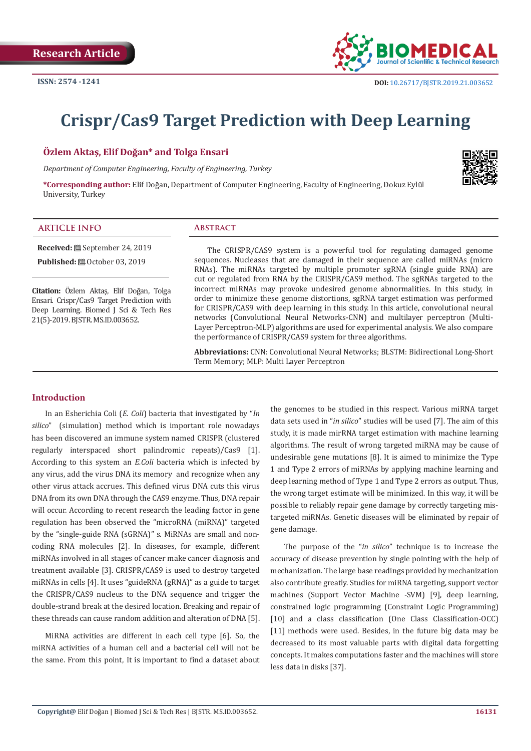

# **Crispr/Cas9 Target Prediction with Deep Learning**

### **Özlem Aktaş, Elif Doğan\* and Tolga Ensari**

*Department of Computer Engineering, Faculty of Engineering, Turkey*

**\*Corresponding author:** Elif Doğan, Department of Computer Engineering, Faculty of Engineering, Dokuz Eylül University, Turkey



#### **ARTICLE INFO Abstract**

**Received:** September 24, 2019

**Published:** ■ October 03, 2019

**Citation:** Özlem Aktaş, Elif Doğan, Tolga Ensari. Crispr/Cas9 Target Prediction with Deep Learning. Biomed J Sci & Tech Res 21(5)-2019. BJSTR. MS.ID.003652.

The CRISPR/CAS9 system is a powerful tool for regulating damaged genome sequences. Nucleases that are damaged in their sequence are called miRNAs (micro RNAs). The miRNAs targeted by multiple promoter sgRNA (single guide RNA) are cut or regulated from RNA by the CRISPR/CAS9 method. The sgRNAs targeted to the incorrect miRNAs may provoke undesired genome abnormalities. In this study, in order to minimize these genome distortions, sgRNA target estimation was performed for CRISPR/CAS9 with deep learning in this study. In this article, convolutional neural networks (Convolutional Neural Networks-CNN) and multilayer perceptron (Multi-Layer Perceptron-MLP) algorithms are used for experimental analysis. We also compare the performance of CRISPR/CAS9 system for three algorithms.

**Abbreviations:** CNN: Convolutional Neural Networks; BLSTM: Bidirectional Long-Short Term Memory; MLP: Multi Layer Perceptron

# **Introduction**

In an Esherichia Coli (*E. Coli*) bacteria that investigated by "*In silico*" (simulation) method which is important role nowadays has been discovered an immune system named CRISPR (clustered regularly interspaced short palindromic repeats)/Cas9 [1]. According to this system an *E.Coli* bacteria which is infected by any virus, add the virus DNA its memory and recognize when any other virus attack accrues. This defined virus DNA cuts this virus DNA from its own DNA through the CAS9 enzyme. Thus, DNA repair will occur. According to recent research the leading factor in gene regulation has been observed the "microRNA (miRNA)" targeted by the "single-guide RNA (sGRNA)" s. MiRNAs are small and noncoding RNA molecules [2]. In diseases, for example, different miRNAs involved in all stages of cancer make cancer diagnosis and treatment available [3]. CRISPR/CAS9 is used to destroy targeted miRNAs in cells [4]. It uses "guideRNA (gRNA)" as a guide to target the CRISPR/CAS9 nucleus to the DNA sequence and trigger the double-strand break at the desired location. Breaking and repair of these threads can cause random addition and alteration of DNA [5].

MiRNA activities are different in each cell type [6]. So, the miRNA activities of a human cell and a bacterial cell will not be the same. From this point, It is important to find a dataset about the genomes to be studied in this respect. Various miRNA target data sets used in "*in silico*" studies will be used [7]. The aim of this study, it is made mirRNA target estimation with machine learning algorithms. The result of wrong targeted miRNA may be cause of undesirable gene mutations [8]. It is aimed to minimize the Type 1 and Type 2 errors of miRNAs by applying machine learning and deep learning method of Type 1 and Type 2 errors as output. Thus, the wrong target estimate will be minimized. In this way, it will be possible to reliably repair gene damage by correctly targeting mistargeted miRNAs. Genetic diseases will be eliminated by repair of gene damage.

The purpose of the "*in silico*" technique is to increase the accuracy of disease prevention by single pointing with the help of mechanization. The large base readings provided by mechanization also contribute greatly. Studies for miRNA targeting, support vector machines (Support Vector Machine -SVM) [9], deep learning, constrained logic programming (Constraint Logic Programming) [10] and a class classification (One Class Classification-OCC) [11] methods were used. Besides, in the future big data may be decreased to its most valuable parts with digital data forgetting concepts. It makes computations faster and the machines will store less data in disks [37].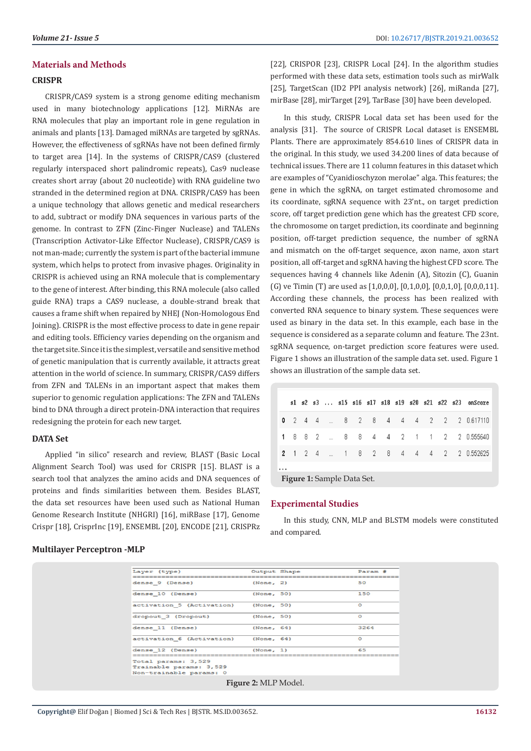# **Materials and Methods**

#### **CRISPR**

CRISPR/CAS9 system is a strong genome editing mechanism used in many biotechnology applications [12]. MiRNAs are RNA molecules that play an important role in gene regulation in animals and plants [13]. Damaged miRNAs are targeted by sgRNAs. However, the effectiveness of sgRNAs have not been defined firmly to target area [14]. In the systems of CRISPR/CAS9 (clustered regularly interspaced short palindromic repeats), Cas9 nuclease creates short array (about 20 nucleotide) with RNA guideline two stranded in the determined region at DNA. CRISPR/CAS9 has been a unique technology that allows genetic and medical researchers to add, subtract or modify DNA sequences in various parts of the genome. In contrast to ZFN (Zinc-Finger Nuclease) and TALENs (Transcription Activator-Like Effector Nuclease), CRISPR/CAS9 is not man-made; currently the system is part of the bacterial immune system, which helps to protect from invasive phages. Originality in CRISPR is achieved using an RNA molecule that is complementary to the gene of interest. After binding, this RNA molecule (also called guide RNA) traps a CAS9 nuclease, a double-strand break that causes a frame shift when repaired by NHEJ (Non-Homologous End Joining). CRISPR is the most effective process to date in gene repair and editing tools. Efficiency varies depending on the organism and the target site. Since it is the simplest, versatile and sensitive method of genetic manipulation that is currently available, it attracts great attention in the world of science. In summary, CRISPR/CAS9 differs from ZFN and TALENs in an important aspect that makes them superior to genomic regulation applications: The ZFN and TALENs bind to DNA through a direct protein-DNA interaction that requires redesigning the protein for each new target.

### **DATA Set**

Applied "in silico" research and review, BLAST (Basic Local Alignment Search Tool) was used for CRISPR [15]. BLAST is a search tool that analyzes the amino acids and DNA sequences of proteins and finds similarities between them. Besides BLAST, the data set resources have been used such as National Human Genome Research Institute (NHGRI) [16], miRBase [17], Genome Crispr [18], CrisprInc [19], ENSEMBL [20], ENCODE [21], CRISPRz

### **Multilayer Perceptron -MLP**

[22], CRISPOR [23], CRISPR Local [24]. In the algorithm studies performed with these data sets, estimation tools such as mirWalk [25], TargetScan (ID2 PPI analysis network) [26], miRanda [27], mirBase [28], mirTarget [29], TarBase [30] have been developed.

In this study, CRISPR Local data set has been used for the analysis [31]. The source of CRISPR Local dataset is ENSEMBL Plants. There are approximately 854.610 lines of CRISPR data in the original. In this study, we used 34.200 lines of data because of technical issues. There are 11 column features in this dataset which are examples of "Cyanidioschyzon merolae" alga. This features; the gene in which the sgRNA, on target estimated chromosome and its coordinate, sgRNA sequence with 23'nt., on target prediction score, off target prediction gene which has the greatest CFD score, the chromosome on target prediction, its coordinate and beginning position, off-target prediction sequence, the number of sgRNA and mismatch on the off-target sequence, axon name, axon start position, all off-target and sgRNA having the highest CFD score. The sequences having 4 channels like Adenin (A), Sitozin (C), Guanin (G) ve Timin (T) are used as [1,0,0,0], [0,1,0,0], [0,0,1,0], [0,0,0,11]. According these channels, the process has been realized with converted RNA sequence to binary system. These sequences were used as binary in the data set. In this example, each base in the sequence is considered as a separate column and feature. The 23nt. sgRNA sequence, on-target prediction score features were used. Figure 1 shows an illustration of the sample data set. used. Figure 1 shows an illustration of the sample data set.

|          |  |  |  |  |  |  | s1 s2 s3  s15 s16 s17 s18 s19 s20 s21 s22 s23 onScore |
|----------|--|--|--|--|--|--|-------------------------------------------------------|
|          |  |  |  |  |  |  | 0 2 4 4  8 2 8 4 4 4 2 2 2 0.617110                   |
|          |  |  |  |  |  |  | 1 8 8 2  8 8 4 4 2 1 1 2 2 0.555640                   |
|          |  |  |  |  |  |  | <b>2</b> 1 2 4  1 8 2 8 4 4 4 2 2 0.552625            |
| $\cdots$ |  |  |  |  |  |  |                                                       |

**Figure 1:** Sample Data Set.

# **Experimental Studies**

In this study, CNN, MLP and BLSTM models were constituted and compared.

| Layer (type)                                                              | Output Shape | Param # |
|---------------------------------------------------------------------------|--------------|---------|
| dense 9 (Dense)                                                           | (None, 2)    | 50      |
| dense 10 (Dense)                                                          | (None, 50)   | 150     |
| activation 5 (Activation)                                                 | (None, 50)   | $\circ$ |
| dropout 3 (Dropout)                                                       | (None, 50)   | $\circ$ |
| dense 11 (Dense)                                                          | (None, 64)   | 3264    |
| activation 6 (Activation)                                                 | (None, 64)   | $\circ$ |
| dense 12 (Dense)                                                          | (None, 1)    | 65      |
| Total params: 3,529<br>Trainable params: 3,529<br>Non-trainable params: 0 |              |         |

**Figure 2:** MLP Model.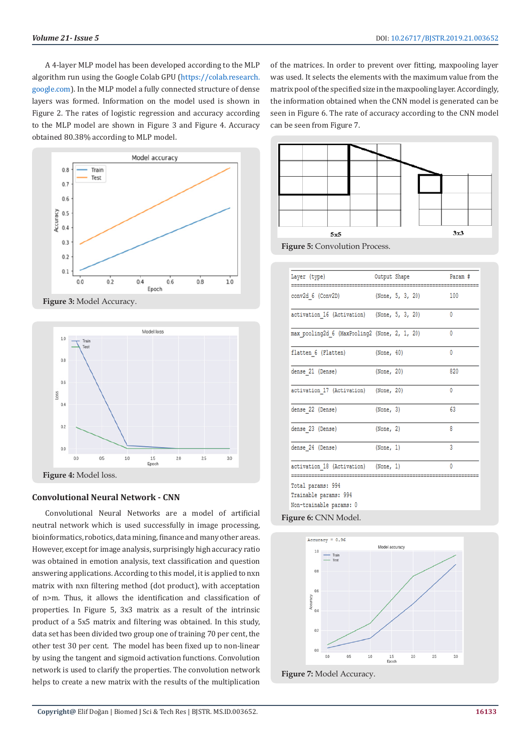A 4-layer MLP model has been developed according to the MLP algorithm run using the Google Colab GPU [\(https://colab.research.](https://colab.research.google.com) [google.com](https://colab.research.google.com)). In the MLP model a fully connected structure of dense layers was formed. Information on the model used is shown in Figure 2. The rates of logistic regression and accuracy according to the MLP model are shown in Figure 3 and Figure 4. Accuracy obtained 80.38% according to MLP model.



**Figure 3:** Model Accuracy.



#### **Convolutional Neural Network - CNN**

Convolutional Neural Networks are a model of artificial neutral network which is used successfully in image processing, bioinformatics, robotics, data mining, finance and many other areas. However, except for image analysis, surprisingly high accuracy ratio was obtained in emotion analysis, text classification and question answering applications. According to this model, it is applied to nxn matrix with nxn filtering method (dot product), with acceptation of n>m. Thus, it allows the identification and classification of properties. In Figure 5, 3x3 matrix as a result of the intrinsic product of a 5x5 matrix and filtering was obtained. In this study, data set has been divided two group one of training 70 per cent, the other test 30 per cent. The model has been fixed up to non-linear by using the tangent and sigmoid activation functions. Convolution network is used to clarify the properties. The convolution network helps to create a new matrix with the results of the multiplication

of the matrices. In order to prevent over fitting, maxpooling layer was used. It selects the elements with the maximum value from the matrix pool of the specified size in the maxpooling layer. Accordingly, the information obtained when the CNN model is generated can be seen in Figure 6. The rate of accuracy according to the CNN model can be seen from Figure 7.





|  | Param #                                                                                                                                                                                                                                                                              |
|--|--------------------------------------------------------------------------------------------------------------------------------------------------------------------------------------------------------------------------------------------------------------------------------------|
|  | 100                                                                                                                                                                                                                                                                                  |
|  | 0                                                                                                                                                                                                                                                                                    |
|  | 0                                                                                                                                                                                                                                                                                    |
|  | 0                                                                                                                                                                                                                                                                                    |
|  | 820                                                                                                                                                                                                                                                                                  |
|  | 0                                                                                                                                                                                                                                                                                    |
|  | 63                                                                                                                                                                                                                                                                                   |
|  | 8                                                                                                                                                                                                                                                                                    |
|  | 3                                                                                                                                                                                                                                                                                    |
|  | 0                                                                                                                                                                                                                                                                                    |
|  |                                                                                                                                                                                                                                                                                      |
|  | Output Shape<br>(None, 5, 3, 20)<br>activation_16 (Activation) (None, 5, 3, 20)<br>max pooling2d 6 (MaxPooling2 (None, 2, 1, 20)<br>(None, 40)<br>(None, 20)<br>activation 17 (Activation) (None, 20)<br>(None, 3)<br>(None, 2)<br>(None, 1)<br>activation 18 (Activation) (None, 1) |



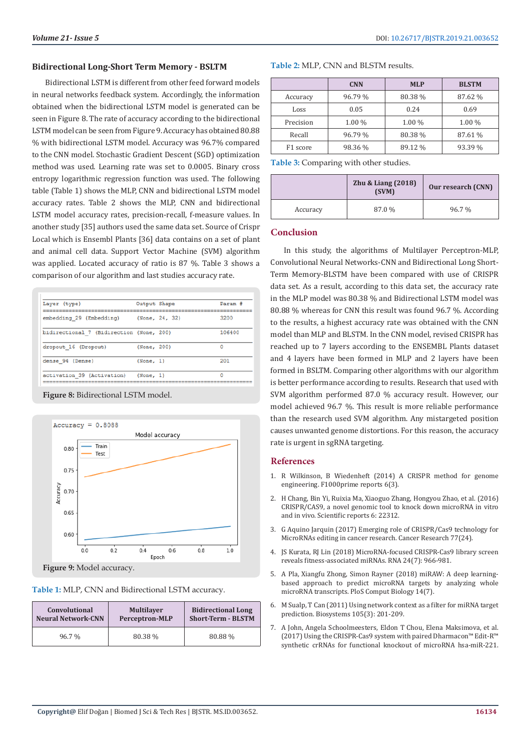#### **Bidirectional Long-Short Term Memory - BSLTM**

Bidirectional LSTM is different from other feed forward models in neural networks feedback system. Accordingly, the information obtained when the bidirectional LSTM model is generated can be seen in Figure 8. The rate of accuracy according to the bidirectional LSTM model can be seen from Figure 9. Accuracy has obtained 80.88 % with bidirectional LSTM model. Accuracy was 96.7% compared to the CNN model. Stochastic Gradient Descent (SGD) optimization method was used. Learning rate was set to 0.0005. Binary cross entropy logarithmic regression function was used. The following table (Table 1) shows the MLP, CNN and bidirectional LSTM model accuracy rates. Table 2 shows the MLP, CNN and bidirectional LSTM model accuracy rates, precision-recall, f-measure values. In another study [35] authors used the same data set. Source of Crispr Local which is Ensembl Plants [36] data contains on a set of plant and animal cell data. Support Vector Machine (SVM) algorithm was applied. Located accuracy of ratio is 87 %. Table 3 shows a comparison of our algorithm and last studies accuracy rate.

| Layer (type)                             | Output Shape |                | Param # |
|------------------------------------------|--------------|----------------|---------|
| embedding 29 (Embedding)                 |              | (None, 24, 32) | 3200    |
| bidirectional 7 (Bidirection (None, 200) |              |                | 106400  |
| dropout 16 (Dropout)                     | (None, 200)  |                | O       |
| dense 94 (Dense)                         | (None, 1)    |                | 201     |
| activation 39 (Activation)               | (None, 1)    |                | Ω       |

**Figure 8:** Bidirectional LSTM model.



**Table 1:** MLP, CNN and Bidirectional LSTM accuracy.

| Convolutional             | <b>Multilayer</b>     | <b>Bidirectional Long</b> |
|---------------------------|-----------------------|---------------------------|
| <b>Neural Network-CNN</b> | <b>Perceptron-MLP</b> | <b>Short-Term - BLSTM</b> |
| 96.7%                     | 80.38 %               | 80.88%                    |

|  | Table 2: MLP, CNN and BLSTM results. |
|--|--------------------------------------|
|--|--------------------------------------|

|           | <b>CNN</b> | <b>MLP</b> | <b>BLSTM</b> |
|-----------|------------|------------|--------------|
| Accuracy  | 96.79 %    | 80.38%     | 87.62 %      |
| Loss      | 0.05       | 0.24       | 0.69         |
| Precision | 1.00 %     | $1.00\%$   | $1.00\%$     |
| Recall    | 96.79 %    | 80.38%     | 87.61 %      |
| F1 score  | 98.36 %    | 89.12 %    | 93.39 %      |

**Table 3:** Comparing with other studies.

|          | <b>Zhu &amp; Liang (2018)</b><br>(SVM) | Our research (CNN) |
|----------|----------------------------------------|--------------------|
| Accuracy | 87.0 %                                 | 96.7%              |

# **Conclusion**

In this study, the algorithms of Multilayer Perceptron-MLP, Convolutional Neural Networks-CNN and Bidirectional Long Short-Term Memory-BLSTM have been compared with use of CRISPR data set. As a result, according to this data set, the accuracy rate in the MLP model was 80.38 % and Bidirectional LSTM model was 80.88 % whereas for CNN this result was found 96.7 %. According to the results, a highest accuracy rate was obtained with the CNN model than MLP and BLSTM. In the CNN model, revised CRISPR has reached up to 7 layers according to the ENSEMBL Plants dataset and 4 layers have been formed in MLP and 2 layers have been formed in BSLTM. Comparing other algorithms with our algorithm is better performance according to results. Research that used with SVM algorithm performed 87.0 % accuracy result. However, our model achieved 96.7 %. This result is more reliable performance than the research used SVM algorithm. Any mistargeted position causes unwanted genome distortions. For this reason, the accuracy rate is urgent in sgRNA targeting.

#### **References**

- 1. [R Wilkinson, B Wiedenheft \(2014\) A CRISPR method for genome](https://www.ncbi.nlm.nih.gov/pmc/articles/PMC3883426/) [engineering. F1000prime reports 6\(3\).](https://www.ncbi.nlm.nih.gov/pmc/articles/PMC3883426/)
- 2. [H Chang, Bin Yi, Ruixia Ma, Xiaoguo Zhang, Hongyou Zhao, et al. \(2016\)](https://www.nature.com/articles/srep22312) [CRISPR/CAS9, a novel genomic tool to knock down microRNA in vitro](https://www.nature.com/articles/srep22312) [and in vivo. Scientific reports 6: 22312.](https://www.nature.com/articles/srep22312)
- 3. [G Aquino Jarquin \(2017\) Emerging role of CRISPR/Cas9 technology for](https://www.ncbi.nlm.nih.gov/pubmed/29208606) [MicroRNAs editing in cancer research. Cancer Research 77\(24\).](https://www.ncbi.nlm.nih.gov/pubmed/29208606)
- 4. [JS Kurata, RJ Lin \(2018\) MicroRNA-focused CRISPR-Cas9 library screen](https://www.ncbi.nlm.nih.gov/pubmed/29720387) [reveals fitness-associated miRNAs. RNA 24\(7\): 966-981.](https://www.ncbi.nlm.nih.gov/pubmed/29720387)
- 5. [A Pla, Xiangfu Zhong, Simon Rayner \(2018\) miRAW: A deep learning](https://journals.plos.org/ploscompbiol/article?id=10.1371/journal.pcbi.1006185)[based approach to predict microRNA targets by analyzing whole](https://journals.plos.org/ploscompbiol/article?id=10.1371/journal.pcbi.1006185) [microRNA transcripts. PloS Comput Biology 14\(7\).](https://journals.plos.org/ploscompbiol/article?id=10.1371/journal.pcbi.1006185)
- 6. [M Sualp, T Can \(2011\) Using network context as a filter for miRNA target](https://www.ncbi.nlm.nih.gov/pubmed/21524683) [prediction. Biosystems 105\(3\): 201-209.](https://www.ncbi.nlm.nih.gov/pubmed/21524683)
- 7. A John, Angela Schoolmeesters, Eldon T Chou, Elena Maksimova, et al. (2017) Using the CRISPR-Cas9 system with paired Dharmacon™ Edit-R™ synthetic crRNAs for functional knockout of microRNA hsa-miR-221.